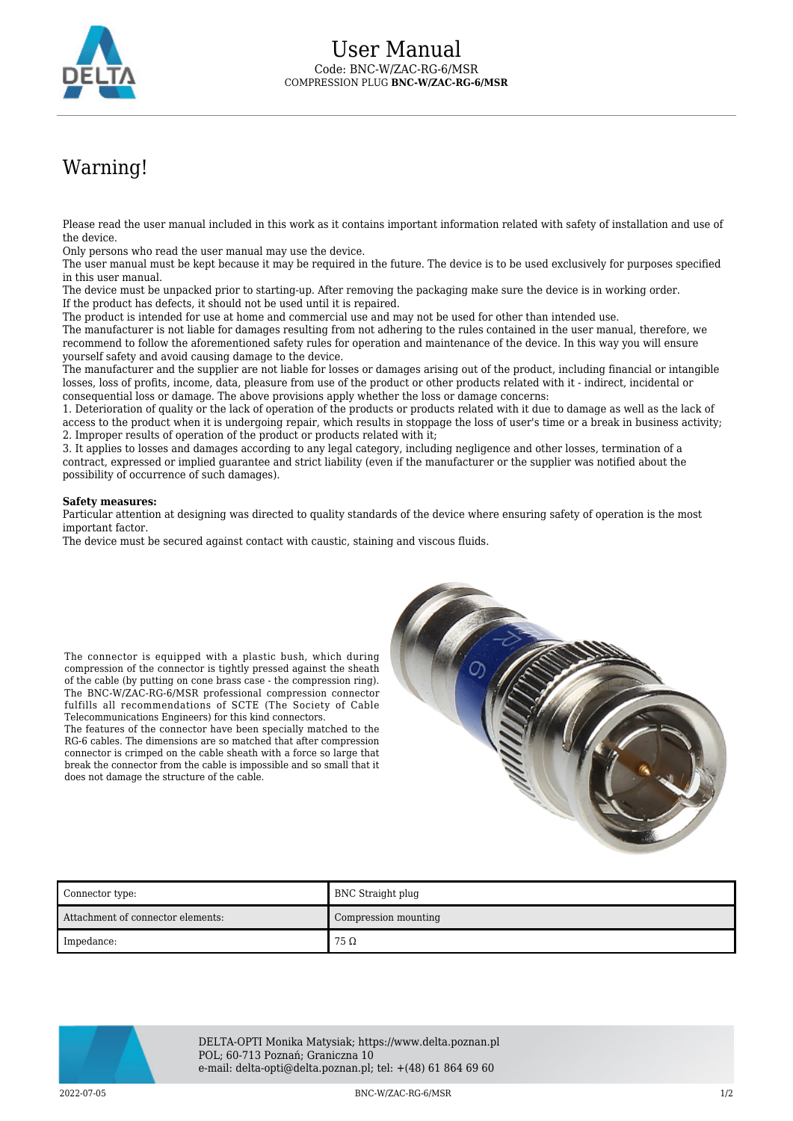

## Warning!

Please read the user manual included in this work as it contains important information related with safety of installation and use of the device.

Only persons who read the user manual may use the device.

The user manual must be kept because it may be required in the future. The device is to be used exclusively for purposes specified in this user manual.

The device must be unpacked prior to starting-up. After removing the packaging make sure the device is in working order. If the product has defects, it should not be used until it is repaired.

The product is intended for use at home and commercial use and may not be used for other than intended use.

The manufacturer is not liable for damages resulting from not adhering to the rules contained in the user manual, therefore, we recommend to follow the aforementioned safety rules for operation and maintenance of the device. In this way you will ensure yourself safety and avoid causing damage to the device.

The manufacturer and the supplier are not liable for losses or damages arising out of the product, including financial or intangible losses, loss of profits, income, data, pleasure from use of the product or other products related with it - indirect, incidental or consequential loss or damage. The above provisions apply whether the loss or damage concerns:

1. Deterioration of quality or the lack of operation of the products or products related with it due to damage as well as the lack of access to the product when it is undergoing repair, which results in stoppage the loss of user's time or a break in business activity; 2. Improper results of operation of the product or products related with it;

3. It applies to losses and damages according to any legal category, including negligence and other losses, termination of a contract, expressed or implied guarantee and strict liability (even if the manufacturer or the supplier was notified about the possibility of occurrence of such damages).

## **Safety measures:**

Particular attention at designing was directed to quality standards of the device where ensuring safety of operation is the most important factor.

The device must be secured against contact with caustic, staining and viscous fluids.



The features of the connector have been specially matched to the RG-6 cables. The dimensions are so matched that after compression connector is crimped on the cable sheath with a force so large that break the connector from the cable is impossible and so small that it does not damage the structure of the cable.



| Connector type:                   | BNC Straight plug    |
|-----------------------------------|----------------------|
| Attachment of connector elements: | Compression mounting |
| Impedance:                        | $75\,\Omega$         |



DELTA-OPTI Monika Matysiak; https://www.delta.poznan.pl POL; 60-713 Poznań; Graniczna 10 e-mail: delta-opti@delta.poznan.pl; tel: +(48) 61 864 69 60